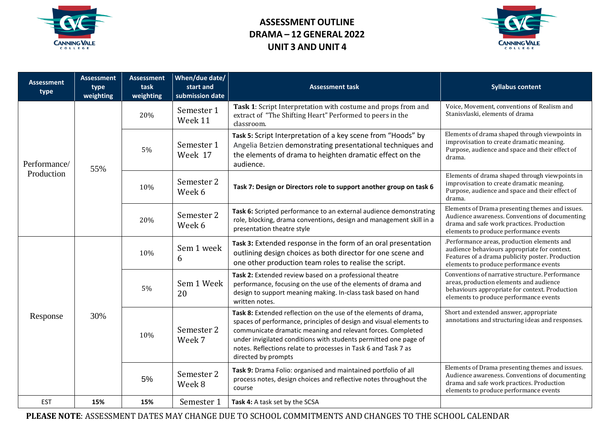

## **ASSESSMENT OUTLINE DRAMA – 12 GENERAL 2022 UNIT 3 AND UNIT 4**



| <b>Assessment</b><br>type  | <b>Assessment</b><br>type<br>weighting | <b>Assessment</b><br>task<br>weighting | When/due date/<br>start and<br>submission date | <b>Assessment task</b>                                                                                                                                                                                                                                                                                                                                             | <b>Syllabus content</b>                                                                                                                                                                   |
|----------------------------|----------------------------------------|----------------------------------------|------------------------------------------------|--------------------------------------------------------------------------------------------------------------------------------------------------------------------------------------------------------------------------------------------------------------------------------------------------------------------------------------------------------------------|-------------------------------------------------------------------------------------------------------------------------------------------------------------------------------------------|
| Performance/<br>Production | 55%                                    | 20%                                    | Semester 1<br>Week 11                          | Task 1: Script Interpretation with costume and props from and<br>extract of "The Shifting Heart" Performed to peers in the<br>classroom.                                                                                                                                                                                                                           | Voice, Movement, conventions of Realism and<br>Stanisvlaski, elements of drama                                                                                                            |
|                            |                                        | 5%                                     | Semester 1<br>Week 17                          | Task 5: Script Interpretation of a key scene from "Hoods" by<br>Angelia Betzien demonstrating presentational techniques and<br>the elements of drama to heighten dramatic effect on the<br>audience.                                                                                                                                                               | Elements of drama shaped through viewpoints in<br>improvisation to create dramatic meaning.<br>Purpose, audience and space and their effect of<br>drama.                                  |
|                            |                                        | 10%                                    | Semester 2<br>Week 6                           | Task 7: Design or Directors role to support another group on task 6                                                                                                                                                                                                                                                                                                | Elements of drama shaped through viewpoints in<br>improvisation to create dramatic meaning.<br>Purpose, audience and space and their effect of<br>drama.                                  |
|                            |                                        | 20%                                    | Semester 2<br>Week 6                           | Task 6: Scripted performance to an external audience demonstrating<br>role, blocking, drama conventions, design and management skill in a<br>presentation theatre style                                                                                                                                                                                            | Elements of Drama presenting themes and issues.<br>Audience awareness. Conventions of documenting<br>drama and safe work practices. Production<br>elements to produce performance events  |
| Response                   | 30%                                    | 10%                                    | Sem 1 week<br>6                                | Task 3: Extended response in the form of an oral presentation<br>outlining design choices as both director for one scene and<br>one other production team roles to realise the script.                                                                                                                                                                             | .Performance areas, production elements and<br>audience behaviours appropriate for context.<br>Features of a drama publicity poster. Production<br>elements to produce performance events |
|                            |                                        | 5%                                     | Sem 1 Week<br>20                               | Task 2: Extended review based on a professional theatre<br>performance, focusing on the use of the elements of drama and<br>design to support meaning making. In-class task based on hand<br>written notes.                                                                                                                                                        | Conventions of narrative structure. Performance<br>areas, production elements and audience<br>behaviours appropriate for context. Production<br>elements to produce performance events    |
|                            |                                        | 10%                                    | Semester 2<br>Week 7                           | Task 8: Extended reflection on the use of the elements of drama,<br>spaces of performance, principles of design and visual elements to<br>communicate dramatic meaning and relevant forces. Completed<br>under invigilated conditions with students permitted one page of<br>notes. Reflections relate to processes in Task 6 and Task 7 as<br>directed by prompts | Short and extended answer, appropriate<br>annotations and structuring ideas and responses.                                                                                                |
|                            |                                        | 5%                                     | Semester 2<br>Week 8                           | Task 9: Drama Folio: organised and maintained portfolio of all<br>process notes, design choices and reflective notes throughout the<br>course                                                                                                                                                                                                                      | Elements of Drama presenting themes and issues.<br>Audience awareness. Conventions of documenting<br>drama and safe work practices. Production<br>elements to produce performance events  |
| <b>EST</b>                 | 15%                                    | 15%                                    | Semester 1                                     | Task 4: A task set by the SCSA                                                                                                                                                                                                                                                                                                                                     |                                                                                                                                                                                           |

**PLEASE NOTE**: ASSESSMENT DATES MAY CHANGE DUE TO SCHOOL COMMITMENTS AND CHANGES TO THE SCHOOL CALENDAR